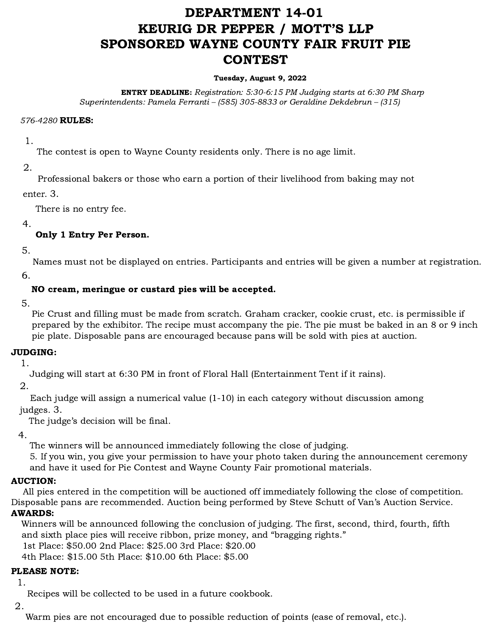# DEPARTMENT 14-01 KEURIG DR PEPPER / MOTT'S LLP SPONSORED WAYNE COUNTY FAIR FRUIT PIE **CONTEST**

#### Tuesday, August 9, 2022

ENTRY DEADLINE: Registration: 5:30-6:15 PM Judging starts at 6:30 PM Sharp Superintendents: Pamela Ferranti – (585) 305-8833 or Geraldine Dekdebrun – (315)

#### 576-4280 RULES:

1.

The contest is open to Wayne County residents only. There is no age limit.

2.

Professional bakers or those who earn a portion of their livelihood from baking may not

enter. 3.

There is no entry fee.

4.

# Only 1 Entry Per Person.

5.

Names must not be displayed on entries. Participants and entries will be given a number at registration. 6.

# NO cream, meringue or custard pies will be accepted.

5.

Pie Crust and filling must be made from scratch. Graham cracker, cookie crust, etc. is permissible if prepared by the exhibitor. The recipe must accompany the pie. The pie must be baked in an 8 or 9 inch pie plate. Disposable pans are encouraged because pans will be sold with pies at auction.

# JUDGING:

1.

Judging will start at 6:30 PM in front of Floral Hall (Entertainment Tent if it rains).

2.

Each judge will assign a numerical value (1-10) in each category without discussion among judges. 3.

The judge's decision will be final.

4.

The winners will be announced immediately following the close of judging.

5. If you win, you give your permission to have your photo taken during the announcement ceremony and have it used for Pie Contest and Wayne County Fair promotional materials.

# AUCTION:

All pies entered in the competition will be auctioned off immediately following the close of competition. Disposable pans are recommended. Auction being performed by Steve Schutt of Van's Auction Service. AWARDS:

Winners will be announced following the conclusion of judging. The first, second, third, fourth, fifth and sixth place pies will receive ribbon, prize money, and "bragging rights."

1st Place: \$50.00 2nd Place: \$25.00 3rd Place: \$20.00

4th Place: \$15.00 5th Place: \$10.00 6th Place: \$5.00

# PLEASE NOTE:

1.

Recipes will be collected to be used in a future cookbook.

2.

Warm pies are not encouraged due to possible reduction of points (ease of removal, etc.).